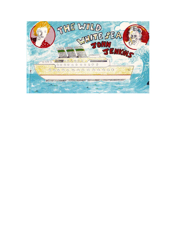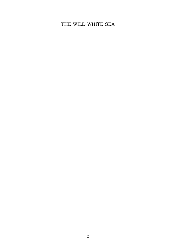# THE WILD WHITE SEA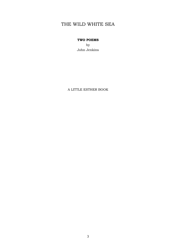# THE WILD WHITE SEA

### **TWO POEMS**

by John Jenkins

A LITTLE ESTHER BOOK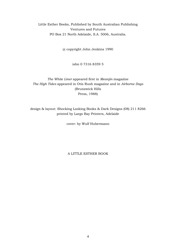Little Esther Books, Published by South Australian Publishing Ventures and Futures PO Box 21 North Adelaide, S.A. 5006, Australia.

@ copyright John Jenkins 1990

isbn 0 7316 8359 5

### *The White Liner* appeared first in *Meanjin* magazine *The High Tides* appeared in Otis Rush magazine and in *Airborne Dogs*  (Brunswick Hills Press, 1988)

design & layout: Shocking Looking Books & Dark Designs (08) 211 8266 printed by Largs Bay Printers, Adelaide

cover: by Wulf Hubermann

A LITTLE ESTHER BOOK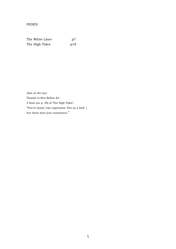INDEX:

| The White Liner | p7  |
|-----------------|-----|
| The High Tides  | p18 |

*Note on the text:*  Thanks to Ken Bolton for 2 lines (on p. 38) of 'The High Tides': "You've heard /the expression 'free as a bird' / but these were just commuters."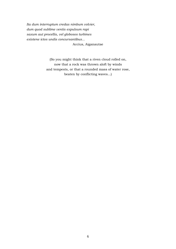*Ita dum interruptum credas nimbum volvier, dum quod sublime ventis expulsum rapi saxum aut procellis, vel globosos turbines existene ictos undis concursantibus...* Accius, Aiganautae

> (So you might think that a riven cloud rolled on, now that a rock was thrown aloft by winds and tempests, or that a rounded mass of water rose, beaten by conflicting waves...)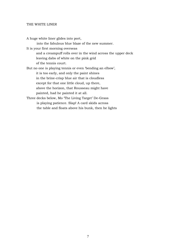### THE WHITE LINER

A huge white liner glides into port, into the fabulous blue blaze of the new summer. It is your first morning overseas and a creampuff rolls over in the wind across the upper deck leaving dabs of white on the pink grid of the tennis court. But no one is playing tennis or even 'bending an elbow', it is too early, and only the paint shines in the brine-crisp blue air that is cloudless except for that one little cloud, up there, above the horizon, that Rousseau might have painted, had he painted it at all. Three decks below, Mo 'The Living Target' De-Grass is playing patience. Slap! A card skids across the table and floats above his bunk, then he lights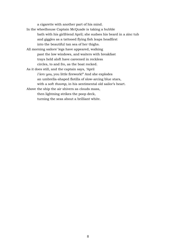a cigarette with another part of his mind.

- In the wheelhouse Captain McQuade is taking a bubble bath with his girlfriend April; she sudses his beard in a zinc tub and giggles as a tattooed flying fish leaps headfirst into the beautiful tan sea of her thighs.
- All morning sailors' legs have appeared, walking past the low windows, and waiters with breakfast trays held aloft have careened in reckless circles, to and fro, as the boat rocked.
- As it does still, and the captain says, 'April *I lerv you,* you little firework!" And she explodes an umbrella-shaped flotilla of slow-arcing blue stars, with a soft *thoomp,* in his sentimental old sailor's heart.

Above the ship the air shivers as clouds mass, then lightning strikes the poop deck, turning the seas about a brilliant white.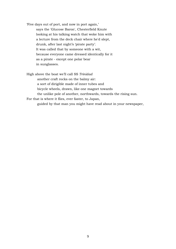'Five days out of port, and now in port again,' says the 'Glucose Baron', Chesterfield Knute looking at his talking watch that woke him with a lecture from the deck chair where he'd slept, drunk, after last night's 'pirate party'. It was called that by someone with a wit, because everyone came dressed identically for it as a pirate - except one polar bear in sunglasses.

High above the boat we'll call SS *Trinidad* another craft rocks on the balmy air: a sort of dirigible made of inner tubes and bicycle wheels, drawn, like one magnet towards the unlike pole of another, northwards, towards the rising sun. For that is where it flies, ever faster, to Japan, guided by that man you might have read about in your newspaper,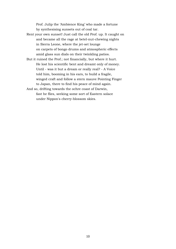Prof. Julip the 'Ambience King' who made a fortune by synthesising sunsets out of coal tar.

- Rent your own sunset! Just call the old Prof. up. It caught on and became all the rage at betel-nut-chewing nights in Sierra Leone, where the jet-set lounge on carpets of bongo drums and atmospheric effects amid glass sun dials on their twinkling patios.
- But it ruined the Prof.; not financially, but where it hurt. He lost his scientific bent and dreamt only of money. Until - was it but a dream or really real? - A Voice told him, booming in his ears, to build a fragile, winged craft and follow a stern mauve Pointing Finger to Japan, there to find his peace of mind again.
- And so, drifting towards the ochre coast of Darwin, fast he flies, seeking some sort of Eastern solace under Nippon's cherry-blossom skies.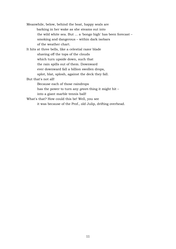Meanwhile, below, behind the boat, happy seals are barking in her wake as she steams out into the wild white sea. But ... a 'bongo high' has been forecast – smoking and dangerous – within dark isobars of the weather chart. It hits at three bells, like a celestial razor blade shaving off the tops of the clouds which turn upside down, such that the rain spills out of them. Downward ever downward fall a billion swollen drops, splot, blat, splosh, against the deck they fall. But that's not all! Because each of those raindrops has the power to turn any *green* thing it might hit – into a giant marble tennis ball! What's that? How could this be! Well, you see it was because of the Prof., old Julip, drifting overhead.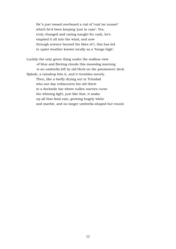He''s just tossed overboard a vial of 'coal tar sunset' which he'd been keeping 'just in case'. Yes, truly changed and caring naught for cash, he's emptied it all into the wind, and now through science beyond the likes of I, this has led to upset weather known locally as a 'bongo high'.

Luckily the only green thing under the endless view of blue and fleeting clouds this moondog morning is an umbrella left by old Heck on the pensioners' deck. Splosh, a raindrop hits it, and it trembles merely. Then, like a barfly drying out in Trinidad who one day rediscovers his old thirst in a dockside bar where sullen navvies curse the whining light, just like that, it soaks up all that fatal rain, growing hugely white and marble, and no longer umbrella-shaped but round.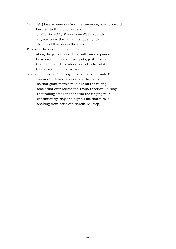'Zounds!' (does anyone say 'zounds' anymore, or is it a word best left to thrill odd readers *of The Hound Of The Baskervilles?* 'Zounds!' anyway, says the captain, suddenly turning the wheel that steers the ship.

This sets the awesome marble rolling, along the pensioners' deck, with savage power! between the rows of flower pots, just missing that old chap Heck who shakes his fist at it then dives behind a cactus.

'Warp me timbers! Ye lubby hulk o' blanky thunder!' swears Heck and also swears the captain as that giant marble rolls like all the rolling stock that ever rocked the Trans-Siberian Railway; that rolling stock that shocks the ringing rails continuously, day and night. Like that it rolls, shaking from her sleep Narelle La Peep,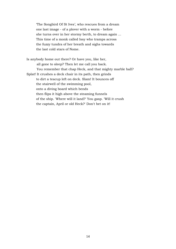'The Songbird Of St Ives', who rescues from a dream one last image - of a plover with a worm - before she turns over in her stormy berth, to dream again ... This time of a monk called Issy who tramps across the fuzzy tundra of her breath and sighs towards the last cold stars of Nome.

Is anybody home out there? Or have you, like her, all gone to sleep? Then let me call you back. You remember that chap Heck, and that mighty marble ball? Splat! It crushes a deck chair in its path, then grinds to dirt a teacup left on deck. Slam! It bounces off the stairwell of the swimming pool, onto a diving board which bends then flips it high above the steaming funnels of the ship. 'Where will it land?' You gasp. 'Will it crush the captain, April or old Heck?' Don't bet on it!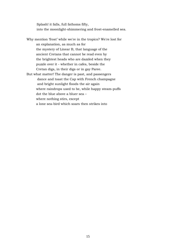Splash! it falls, full fathoms fifty, into the moonlight-shimmering and frost-enamelled sea.

Why mention 'frost' while we're in the tropics? We're lost for an explanation, as much as for the mystery of Linear B, that language of the ancient Cretans that cannot be read even by the brightest heads who are dazzled when they puzzle over it - whether in cafes, beside the Cretan digs, in their digs or in gay Paree. But what matter! The danger is past, and passengers dance and toast the Cap with French champagne and bright sunlight floods the air again where raindrops used to be, while happy steam-puffs dot the blue above a bluer sea – where nothing stirs, except a lone sea-bird which soars then strikes into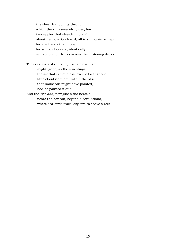the sheer tranquillity through which the ship serenely glides, towing two ripples that stretch into a V about her bow. On board, all is still again, except for idle hands that grope for suntan lotion or, identically, semaphore for drinks across the glistening decks.

The ocean is a sheet of light a careless match might ignite, as the sun stings the air that is cloudless, except for that one little cloud up there, within the blue that Rousseau might have painted, had he painted it at all. And the *Trinidad,* now just a dot herself

nears the horizon, beyond a coral island, where sea-birds trace lazy circles above a reef,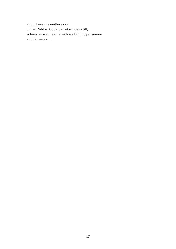and where the endless cry of the Didda-Booba parrot echoes still, echoes as we breathe, echoes bright, yet serene and far away ...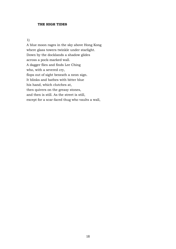#### **THE HIGH TIDES**

#### 1)

A blue moon rages in the sky above Hong Kong where glass towers twinkle under starlight. Down by the docklands a shadow glides across a pock-marked wall. A dagger flies and finds Lee Ching who, with a severed cry, flops out of sight beneath a neon sign. It blinks and bathes with bitter blue his hand, which clutches at, then quivers on the greasy stones, and then is still. As the street is still, except for a scar-faced thug who vaults a wall,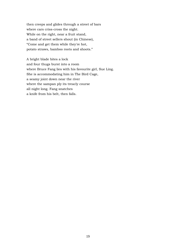then creeps and glides through a street of bars where cars criss-cross the night. While on the right, near a fruit stand, a band of street sellers shout (in Chinese), "Come and get them while they're hot, potato straws, bamboo roots and shoots."

A bright blade bites a lock and four thugs burst into a room where Bruce Fang lies with his favourite girl, Sue Ling. She is accommodating him in The Bird Cage, a seamy joint down near the river where the sampan ply its treacly course all night long. Fang snatches a knife from his belt, then falls.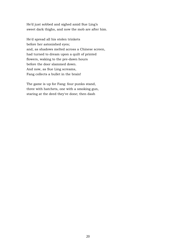He'd just sobbed and sighed amid Sue Ling's sweet dark thighs, and now the mob are after him.

He'd spread all his stolen trinkets before her astonished eyes; and, as shadows melted across a Chinese screen, had turned to dream upon a quilt of printed flowers, waking to the pre-dawn hours before the door slammed down. And now, as Sue Ling screams, Fang collects a bullet in the brain!

The game is up for Fang: four punks stand, three with hatchets, one with a smoking gun, staring at the deed they've done; then dash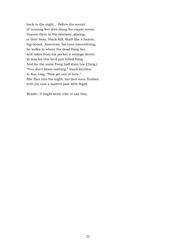back to the night... Before the sound of running feet dies along the empty street, framed there in the doorway, glaring, is their boss, Hank Kill. Built like a hearse, big-boned, American, his eyes smouldering, he walks to where the dead Fang lies and takes from his pocket a strange device. (It was for this he'd just killed Fang. And for the same Fang had slain Lee Ching.) "You don't know nothing," Hank mutters to Sue Ling. "Now get out of here." She flies into the night, her face once flushed with joy now a lantern pale with fright.

Reader, it might seem trite to say this,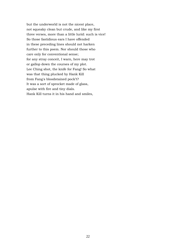but the underworld is not the nicest place, not squeaky clean but crude, and like my first three verses, more than a little lurid: such is vice! So those fastidious ears I have offended in these preceding lines should not harken further to this poem. Nor should those who care only for conventional sense; for any stray conceit, I warn, here may trot or gallop down the courses of my plot. Lee Ching shot, the knife for Fang! So what was that thing plucked by Hank Kill from Fang's bloodstained pock't? It was a sort of sprocket made of glass, apulse with fire and tiny dials. Hank Kill turns it in his hand and smiles,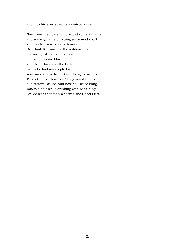and into his eyes streams a sinister silver light.

Now some men care for love and some for fame and some go lame pursuing some mad sport such as lacrosse or table tennis. But Hank Kill was not the outdoor type nor an egoist. For all his days he had only cared for lucre, and the filthier won the better. Lately he had intercepted a letter sent via a stooge from Bruce Fang to his wife. This letter told how Lee Ching saved the life of a certain Dr Lee, and how he, Bruce Fang, was told of it while drinking with Lee Ching. Dr Lee was that man who won the Nobel Prize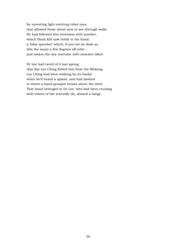for inventing light-emitting robot eyes that allowed those metal men to see through walls. He had followed this invention with another, which Hank Kill now holds in his hand: a 'tidal sprocket' which, if you set its dials so, tilts the moon a few degrees off orbit – and makes the sea convulse with monster tides!

Dr Lee had raved of it last spring that day Lee Ching fished him from the Mekong. Lee Ching had been walking by its banks when he'd heard a splash, and had dashed to where a hand grasped straws above the swirl. That hand belonged to Dr Lee, who had been cruising with others of the scientific ilk, aboard a barge,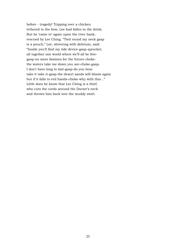before - tragedy! Tripping over a chicken tethered to the bow, Lee had fallen in the drink. But he 'came to' again upon the river bank, rescued by Lee Ching. "Tied round my neck gasp is a pouch," Lee, shivering with delirium, said. "Inside you'll find my tide device-gasp-sprocket, all together one world where we'll all be freegasp-no more famines for the future-chokethe waters take me down you see-choke-gasp-I don't have long to last-gasp-do you hear take it take it-gasp-the desert sands will bloom again but if it falls to evil hands-choke-why with this..." Little does he know that Lee Ching is a thief, who cuts the cords around the Doctor's neck and throws him back into the muddy swirl.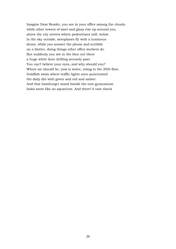Imagine Dear Reader, you are in your office among the clouds, while other towers of steel and glass rise up around you, above the city streets where pedestrians mill, below. In the sky outside, aeroplanes fly with a luminous drone, while you answer the phone and scribble on a blotter, doing things other office workers do. But suddenly you see in the blue out there a huge white liner drifting serenely past. You can't believe your eyes, and why should you? Where air should be, now is water, rising to the 20th floor. Goldfish swim where traffic lights once punctuated the daily din with green and red and amber. And that hamburger stand beside the new gymnasium looks more like an aquarium. And there! A vast shock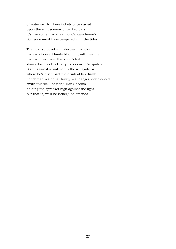of water swirls where tickets once curled upon the windscreens of parked cars. It's like some mad dream of Captain Nemo's. Someone must have tampered with the tides!

The tidal sprocket in malevolent hands? Instead of desert lands blooming with new life… Instead, this? Yes! Hank Kill's fist slams down as his Lear jet veers over Acupulco. Slam! against a sink set in the wingside bar where he's just upset the drink of his dumb henchman Waldo: a Harvey Wallbanger, double-iced. "With this we'll be rich," Hank booms, holding the sprocket high against the light. "Or that is, we'll be richer," he amends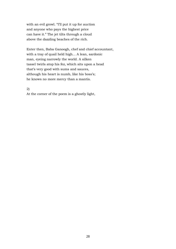with an evil growl. "I'll put it up for auction and anyone who pays the highest price can have it." The jet tilts through a cloud above the dazzling beaches of the rich.

Enter then, Baba Ganoogh, chef and chief accountant, with a tray of quail held high... A lean, sardonic man, eyeing narrowly the world. A silken tassel twirls atop his fez, which sits upon a head that's very good with sums and sauces, although his heart is numb, like his boss's; he knows no more mercy than a mantis.

2)

At the corner of the poem is a ghostly light,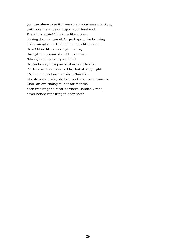you can almost see it if you screw your eyes up, tight, until a vein stands out upon your forehead. There it is again! This time like a train blazing down a tunnel. Or perhaps a fire burning inside an igloo north of Nome. No - like none of these! More like a flashlight flaring through the gloom of sudden storms... "Mush," we hear a cry and find the Arctic sky now poised above our heads. For here we have been led by that strange light! It's time to meet our heroine, Clair Sky, who drives a husky sled across those frozen wastes. Clair, an ornithologist, has for months been tracking the Most Northern Banded Grebe, never before venturing this far north.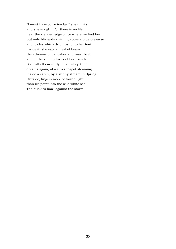"I must have come too far," she thinks and she is right. For there is no life near the slender ledge of ice where we find her, but only blizzards swirling above a blue crevasse and icicles which drip frost onto her tent. Inside it, she eats a meal of beans then dreams of pancakes and roast beef, and of the smiling faces of her friends. She calls them softly in her sleep then dreams again, of a silver teapot steaming inside a cabin, by a sunny stream in Spring. Outside, fingers more of frozen light than ice point into the wild white sea. The huskies howl against the storm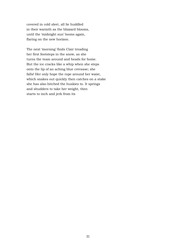covered in cold sleet, all lie huddled in their warmth as the blizzard blooms, until the 'midnight sun' looms again, flaring on the new horizon.

The next 'morning' finds Clair treading her first footsteps in the snow, as she turns the team around and heads for home. But the ice cracks like a whip when she steps onto the lip of an aching blue crevasse; she falls! Her only hope the rope around her waist, which snakes out quickly then catches on a stake she has also hitched the huskies to. It springs and shudders to take her weight, then starts to inch and jerk from its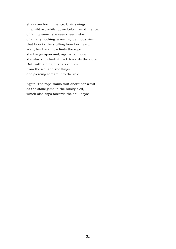shaky anchor in the ice. Clair swings in a wild arc while, down below, amid the roar of falling snow, she sees sheer vistas of an airy nothing: a reeling, delirious view that knocks the stuffing from her heart. Wait, her hand now finds the rope she hangs upon and, against all hope, she starts to climb it back towards the slope. But, with a ping, that stake flies from the ice, and she flings one piercing scream into the void.

Again! The rope slams taut about her waist as the stake jams in the husky sled, which also slips towards the chill abyss.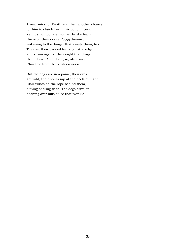A near miss for Death and then another chance for him to clutch her in his bony fingers. Yet, it's not too late. For her husky team throw off their docile *doggy* dreams, wakening to the danger that awaits them, too. They set their padded feet against a ledge and strain against the weight that drags them down. And, doing so, also raise Clair free from the bleak crevasse.

But the dogs are in a panic, their eyes are wild, their howls nip at the heels of night. Clair twists on the rope behind them, a thing of flung flesh. The dogs drive on, dashing over hills of ice that twinkle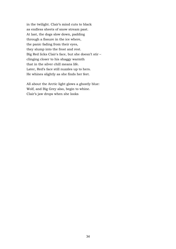in the twilight. Clair's mind cuts to black as endless sheets of snow stream past. At last, the dogs slow down, padding through a fissure in the ice where, the panic fading from their eyes, they slump into the frost and rest. Big Red licks Clair's face, but she doesn't stir – clinging closer to his shaggy warmth that in the silver chill means life. Later, Red's face still nuzzles up to hers. He whines slightly as she finds her feet.

All about the Arctic light glows a ghostly blue: Wolf, and Big Grey also, begin to whine. Clair's jaw drops when she looks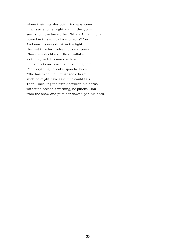where their muzzles point. A shape looms in a fissure to her right and, in the gloom, seems to move toward her. What? A mammoth buried in this tomb of ice for eons? Yes. And now his eyes drink in the light, the first time for twelve thousand years. Clair trembles like a little snowflake as tilting back his massive head he trumpets one sweet and piercing note. For everything he looks upon he loves. "She has freed me. I must serve her," such he might have said if he could talk. Then, uncoiling the trunk between his horns without a second's warning, he plucks Clair from the snow and puts her down upon his back.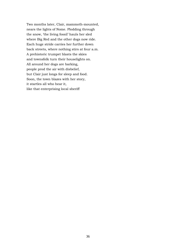Two months later, Clair, mammoth-mounted, nears the lights of Nome. Plodding through the snow, 'the living fossil' hauls her sled where Big Red and the other dogs now ride. Each huge stride carries her further down back streets, where nothing stirs at four a.m. A prehistoric trumpet blasts the skies and townsfolk turn their houselights on. All around her dogs are barking, people prod the air with disbelief, but Clair just longs for sleep and food. Soon, the town blazes with her story, it startles all who hear it, like that enterprising local sheriff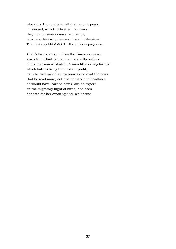who calls Anchorage to tell the nation's press. Impressed, with this first sniff of news, they fly up camera crews, arc lamps, plus reporters who demand instant interviews. The next day MAMMOTH GIRL makes page one.

Clair's face stares up from the Times as smoke curls from Hank Kill's cigar, below the rafters of his mansion in Madrid. A man little caring for that which fails to bring him instant profit, even he had raised an eyebrow as he read the news. Had he read more, not just perused the headlines, he would have learned how Clair, an expert on the migratory flight of birds, had been honored for her amazing find, which was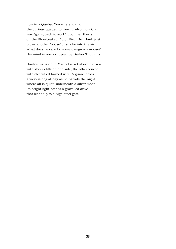now in a Quebec Zoo where, daily, the curious queued to view it. Also, how Clair was "going back to work" upon her thesis on the Blue-beaked Fidgit Bird. But Hank just blows another 'noose' of smoke into the air. What does he care for some overgrown moose? His mind is now occupied by Darker Thoughts.

Hank's mansion in Madrid is set above the sea with sheer cliffs on one side, the other fenced with electrified barbed wire. A guard holds a vicious dog at bay as he patrols the night where all is quiet underneath a silver moon. Its bright light bathes a gravelled drive that leads up to a high steel gate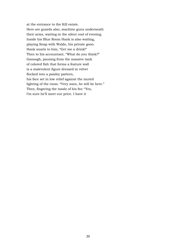at the entrance to the Kill estate. Here are guards also, machine guns underneath their arms, waiting in the silent cool of evening. Inside his Blue Room Hank is also waiting, playing Snap with Waldo, his private goon. Hank snarls to him, "Get me a drink!" Then to his accountant, "What do you think?" Ganoogh, pausing from the massive tank of colored fish that forms a feature wall is a malevolent figure dressed in velvet flocked into a paisley pattern, his face set in low relief against the muted lighting of the room. "Very soon, he will be here." Then, fingering the tassle of his fez: "Yes, I'm sure he'll meet our price. I have it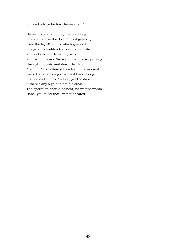on good advice he has the means..."

His words are cut off by the crackling intercom above the door. "Front gate sir, I see the light!" Words which give no hint of a guard's sudden transformation into a model citizen. He merely sees approaching cars. We watch them also, purring through the gate and down the drive. A white Rolls, followed by a train of armoured vans. Hank runs a gold-ringed hand along his jaw and smiles. "Waldo, get the door, if there's any sign of a double cross... The operation should be neat, no wasted words. Baba, you mind that I'm not cheated."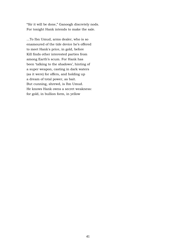"Sir it will be done," Ganoogh discretely nods. For tonight Hank intends to make the sale.

...To Ibn Umud, arms dealer, who is so enamoured of the tide device he's offered to meet Hank's price, in gold, before Kill finds other interested parties from among Earth's scum. For Hank has been 'talking to the shadows', hinting of a super weapon, casting in dark waters (as it were) for offers, and holding up a dream of total power, as bait. But cunning, shrewd, is Ibn Umud. He knows Hank owns a secret weakness: for gold, in bullion form, in yellow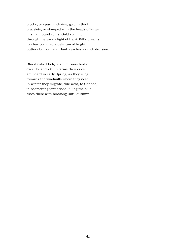blocks, or spun in chains, gold in thick bracelets, or stamped with the heads of kings in small round coins. Gold spilling through the gaudy light of Hank Kill's dreams. Ibn has conjured a delirium of bright, buttery bullion, and Hank reaches a quick decision.

### 3)

Blue-Beaked Fidgits are curious birds: over Holland's tulip farms their cries are heard in early Spring, as they wing towards the windmills where they nest. In winter they migrate, due west, to Canada, in boomerang formations, filling the blue skies there with birdsong until Autumn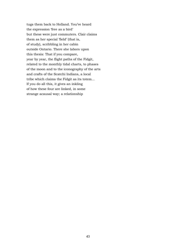tugs them back to Holland. You've heard the expression 'free as a bird' but these were just commuters. Clair claims them as her special 'field' (that is, of study), scribbling in her cabin outside Ontario. There she labors upon this thesis: That if you compare, year by year, the flight paths of the Fidgit, related to the monthly tidal charts, to phases of the moon and to the iconography of the arts and crafts of the Scatchi Indians, a local tribe which claims the Fidgit as its totem... If you do all this, it gives an inkling of how these four are linked, in some strange acausal way; a relationship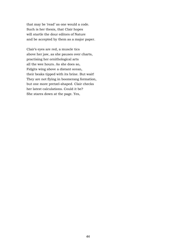that may be 'read' as one would a code. Such is her thesis, that Clair hopes will startle the dour editors of Nature and be accepted by them as a major paper.

Clair's eyes are red, a muscle tics above her jaw, as she pauses over charts, practising her ornithological arts all the wee hours. As she does so, Fidgits wing above a distant ocean, their beaks tipped with its brine. But wait! They are not flying in boomerang formation, but one more pretzel-shaped. Clair checks her latest calculations. Could it be? She stares down at the page. Yes,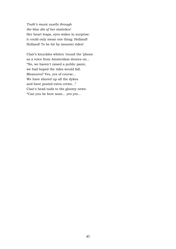*Truth's music swells through the blue din of her statistics!* Her heart leaps, eyes widen in surprise: it could only mean one thing: Holland! Holland! To be hit by monster tides!

Clair's knuckles whiten 'round the 'phone as a voice from Amsterdam drones on... "No, we haven't raised a public panic, we had hoped the tides would fall. Measures? Yes, yes of course... We have shored up all the dykes and have posted extra crews..." Clair's head nods to the gloomy news. "Can you be here soon... yes yes...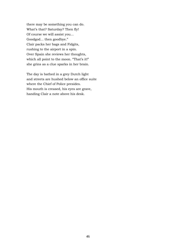there may be something you can do. What's that? Saturday? Then fly! Of course we will assist you... Goodgod... then goodbye." Clair packs her bags and Fidgits, rushing to the airport in a spin. Over Spain she reviews her thoughts, which all point to the moon. "That's it!" she grins as a clue sparks in her brain.

The day is bathed in a grey Dutch light and streets are hushed below an office suite where the Chief of Police presides. His mouth is creased, his eyes are grave, handing Clair a note above his desk.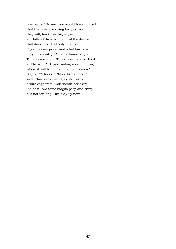She reads: "By now you would have noticed that the tides are rising fast; as rise they will, ten times higher, until all Holland drowns. I control the device that does this. And only I can stop it, *if* you pay my price. And what fair ransom for your country? A paltry tonne of gold. To be taken to the Tunis Star, now berthed at Kliebald Port, and sailing soon to Libya, where it will be intercepted by my men." Signed: "A friend." "More like a fiend," says Clair, eyes flaring as she takes a wire cage from underneath her skirt. Inside it, two tame Fidgits peep and chirp – but not for long. Out they fly now,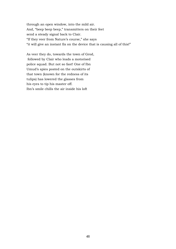through an open window, into the mild air. And, "beep beep beep," transmitters on their feet send a steady signal back to Clair. "If they veer from Nature's course," she says "it will give an instant fix on the device that is causing all of this!"

As veer they do, towards the town of Grod, followed by Clair who leads a motorised police squad. But not so fast! One of Ibn Umud's spies posted on the outskirts of that town (known for the redness of its tulips) has lowered the glasses from his eyes to tip his master off. Ibn's smile chills the air inside his loft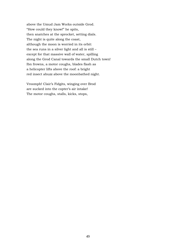above the Umud Jam Works outside Grod. "How could they know!" he spits, then snatches at the sprocket, setting dials. The night is quite along the coast, although the moon is worried in its orbit: the sea runs in a silver light and all is still – except for that massive wall of water, spilling along the Grod Canal towards the small Dutch town! Ibn frowns, a motor coughs, blades flash as a helicopter lifts above the roof: a bright red insect abuzz above the moonbathed night.

Vroomph! Clair's Fidgits, winging over Brod are sucked into the copter's air intake! The motor coughs, stalls, kicks, stops,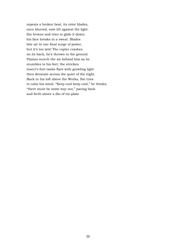repeats a broken beat, its rotor blades, once blurred, now tilt against the light. Ibn frowns and tries to glide it down; his face breaks in a sweat. Blades bite air in one final surge of power, but it's too late! The copter crashes on its back, he's thrown to the ground. Flames scorch the air behind him as he stumbles to his feet; the stricken insect's fuel tanks flare with growling light then detonate across the quiet of the night. Back in his loft above the Works, Ibn tries to calm his mind. "Keep cool keep cool," he thinks, "there must be some way out," pacing back and forth above a din of tin-plate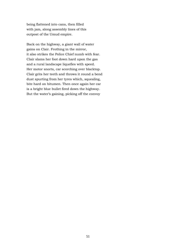being flattened into cans, then filled with jam, along assembly lines of this outpost of the Umud empire.

Back on the highway, a giant wall of water gains on Clair. Frothing in the mirror, it also strikes the Police Chief numb with fear. Clair slams her foot down hard upon the gas and a rural landscape liquefies with speed. Her motor snorts, car scorching over blacktop. Clair grits her teeth and throws it round a bend dust spurting from her tyres which, squealing, bite hard on bitumen. Then once again her car is a bright blue bullet fired down the highway. But the water's gaining, picking off the convoy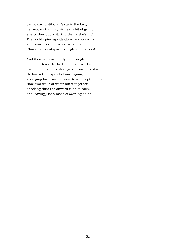car by car, until Clair's car is the last, her motor straining with each bit of grunt she pushes out of it. And then – she's hit! The world spins upside-down and crazy in a cross-whipped chaos at all sides. Clair's car is catapaulted high into the sky!

And there we leave it, flying through 'the blue' towards the Umud Jam Works... Inside, Ibn hatches strategies to save his skin. He has set the sprocket once again, arranging for *a second* wave to intercept the first. Now, two walls of water burst together, checking thus the onward rush of each, and leaving just a mass of swirling slush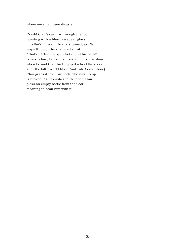where once had been disaster.

Crash! Clair's car rips through the roof, bursting with a blue cascade of glass into Ibn's hideout. He sits stunned, as Clair leaps through the shattered air at him. "That's it! See, the sprocket round his neck!" (Years before, Dr Lee had talked of his invention when he and Clair had enjoyed a brief flirtation after the Fifth World Moon And Tide Convention.) Clair grabs it from his neck. The villain's spell is broken. As he dashes to the door, Clair picks an empty bottle from the floor, meaning to bean him with it.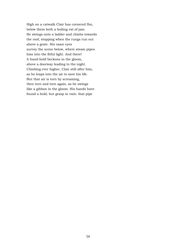High on a catwalk Clair has cornered Ibn, below them both a boiling vat of jam. He swings onto a ladder and climbs towards the roof, stopping when the rungs run out above a grate. His razor eyes survey the scene below, where steam pipes hiss into the fitful light. And there! A hand-hold beckons in the gloom, above a doorway leading to the night. Climbing ever higher, Clair still after him, as he leaps into the air to save his life. But that air is torn by screaming, then torn and torn again, as he swings like a gibbon in the gloom. His hands have found a hold, but grasp in vain: that pipe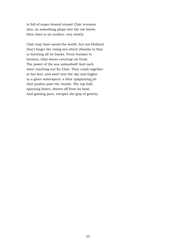is full of super-heated steam! Clair screams also, as something plops into the vat below, then rises to its surface, very slowly.

Clair may have saved the world, but not Holland. Don't forget the rising sea which (thanks to Ibn) is bursting all its banks. From horizon to horizon, tidal waves converge on Grod. The power of the sea unleashed! And each wave reaching out for Clair. They crash together at her feet, and swirl into the sky and higher in a giant waterspout: a blue upspinning jet that pushes past the clouds. The top half, spinning faster, sheers off from its base. And gaining pace, escapes the grip of gravity,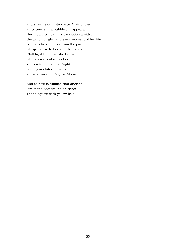and streams out into space. Clair circles at its centre in a bubble of trapped air. Her thoughts float in slow motion amidst the dancing light, and every moment of her life is now relived. Voices from the past whisper close to her and then are still. Chill light from vanished suns whitens walls of ice as her tomb spins into interstellar Night. Light years later, it melts above a world in Cygnus Alpha.

And so now is fulfilled that ancient lore of the Scatchi Indian tribe: That a squaw with yellow hair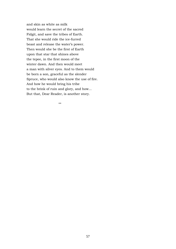and skin as white as milk would learn the secret of the sacred Fidgit, and save the tribes of Earth. That she would ride the ice-furred beast and release the water's power. Then would she be the first of Earth upon that star that shines above the tepee, in the first moon of the winter dawn. And then would meet a man with silver eyes. And to them would be born a son, graceful as the slender Spruce, who would also know the use of fire. And how he would bring his tribe to the brink of ruin and glory, and how... But that, Dear Reader, is another story.

\*\*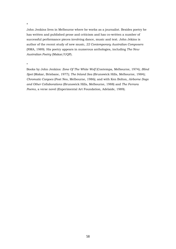#### \*

John Jenkins lives in Melbourne where he works as a journalist. Besides poetry he has written and published prose and criticism and has co-written a number of successful performance pieces involving dance, music and text. John Jekins is author of the recent study of new music, *22 Contemporary Australian Composers* (NMA, 1989). His poetry appears in numerous anthologies, including *The New Australian Poetry* (Makar/UQP).

\*

Books by John Jenkins: *Zone Of The White Wolf* (Contempa, Melbourne, 1974); *Blind Spot* (Makar, Brisbane, 1977); *The Inland Sea* (Brunswick Hills, Melbourne, 1984); *Chromatic Cargoes* (Post Neo, Melbourne, 1986); and with Ken Bolton, *Airborne Dogs and Other Collaborations* (Brunswick Hills, Melbourne, 1988) and *The Ferrara Poems*, a verse novel (Experimental Art Foundation, Adelaide, 1989).